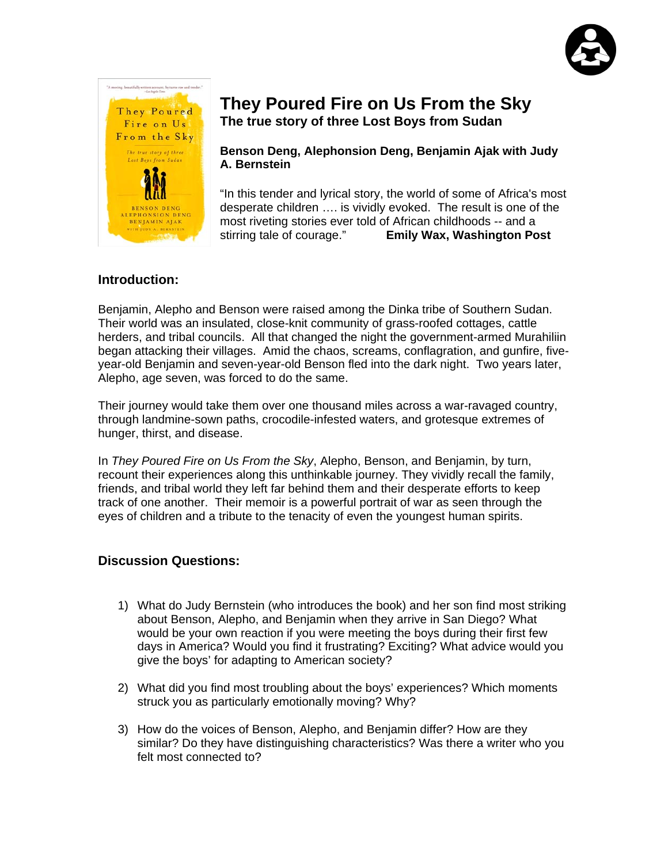



## **They Poured Fire on Us From the Sky The true story of three Lost Boys from Sudan**

**Benson Deng, Alephonsion Deng, Benjamin Ajak with Judy A. Bernstein**

"In this tender and lyrical story, the world of some of Africa's most desperate children …. is vividly evoked. The result is one of the most riveting stories ever told of African childhoods -- and a stirring tale of courage." **Emily Wax, Washington Post** 

#### **Introduction:**

Benjamin, Alepho and Benson were raised among the Dinka tribe of Southern Sudan. Their world was an insulated, close-knit community of grass-roofed cottages, cattle herders, and tribal councils. All that changed the night the government-armed Murahiliin began attacking their villages. Amid the chaos, screams, conflagration, and gunfire, fiveyear-old Benjamin and seven-year-old Benson fled into the dark night. Two years later, Alepho, age seven, was forced to do the same.

Their journey would take them over one thousand miles across a war-ravaged country, through landmine-sown paths, crocodile-infested waters, and grotesque extremes of hunger, thirst, and disease.

In *They Poured Fire on Us From the Sky*, Alepho, Benson, and Benjamin, by turn, recount their experiences along this unthinkable journey. They vividly recall the family, friends, and tribal world they left far behind them and their desperate efforts to keep track of one another. Their memoir is a powerful portrait of war as seen through the eyes of children and a tribute to the tenacity of even the youngest human spirits.

#### **Discussion Questions:**

- 1) What do Judy Bernstein (who introduces the book) and her son find most striking about Benson, Alepho, and Benjamin when they arrive in San Diego? What would be your own reaction if you were meeting the boys during their first few days in America? Would you find it frustrating? Exciting? What advice would you give the boys' for adapting to American society?
- 2) What did you find most troubling about the boys' experiences? Which moments struck you as particularly emotionally moving? Why?
- 3) How do the voices of Benson, Alepho, and Benjamin differ? How are they similar? Do they have distinguishing characteristics? Was there a writer who you felt most connected to?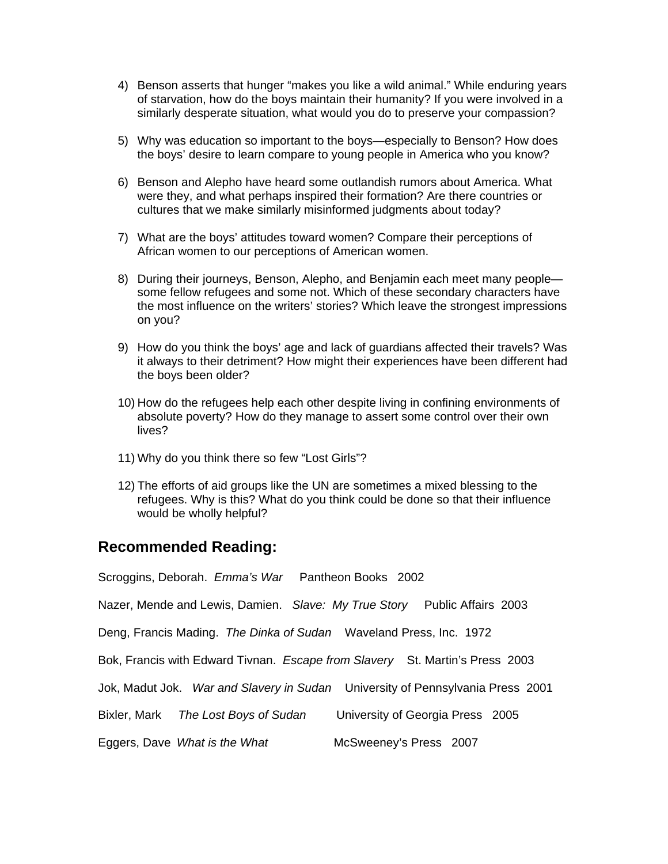- 4) Benson asserts that hunger "makes you like a wild animal." While enduring years of starvation, how do the boys maintain their humanity? If you were involved in a similarly desperate situation, what would you do to preserve your compassion?
- 5) Why was education so important to the boys—especially to Benson? How does the boys' desire to learn compare to young people in America who you know?
- 6) Benson and Alepho have heard some outlandish rumors about America. What were they, and what perhaps inspired their formation? Are there countries or cultures that we make similarly misinformed judgments about today?
- 7) What are the boys' attitudes toward women? Compare their perceptions of African women to our perceptions of American women.
- 8) During their journeys, Benson, Alepho, and Benjamin each meet many people some fellow refugees and some not. Which of these secondary characters have the most influence on the writers' stories? Which leave the strongest impressions on you?
- 9) How do you think the boys' age and lack of guardians affected their travels? Was it always to their detriment? How might their experiences have been different had the boys been older?
- 10) How do the refugees help each other despite living in confining environments of absolute poverty? How do they manage to assert some control over their own lives?
- 11) Why do you think there so few "Lost Girls"?
- 12) The efforts of aid groups like the UN are sometimes a mixed blessing to the refugees. Why is this? What do you think could be done so that their influence would be wholly helpful?

### **Recommended Reading:**

Scroggins, Deborah. *Emma's War* Pantheon Books 2002

Nazer, Mende and Lewis, Damien. *Slave: My True Story* Public Affairs 2003

Deng, Francis Mading. *The Dinka of Sudan* Waveland Press, Inc. 1972

Bok, Francis with Edward Tivnan. *Escape from Slavery* St. Martin's Press 2003

Jok, Madut Jok. *War and Slavery in Sudan* University of Pennsylvania Press 2001

Bixler, Mark *The Lost Boys of Sudan* University of Georgia Press 2005

Eggers, Dave What is the What McSweeney's Press 2007